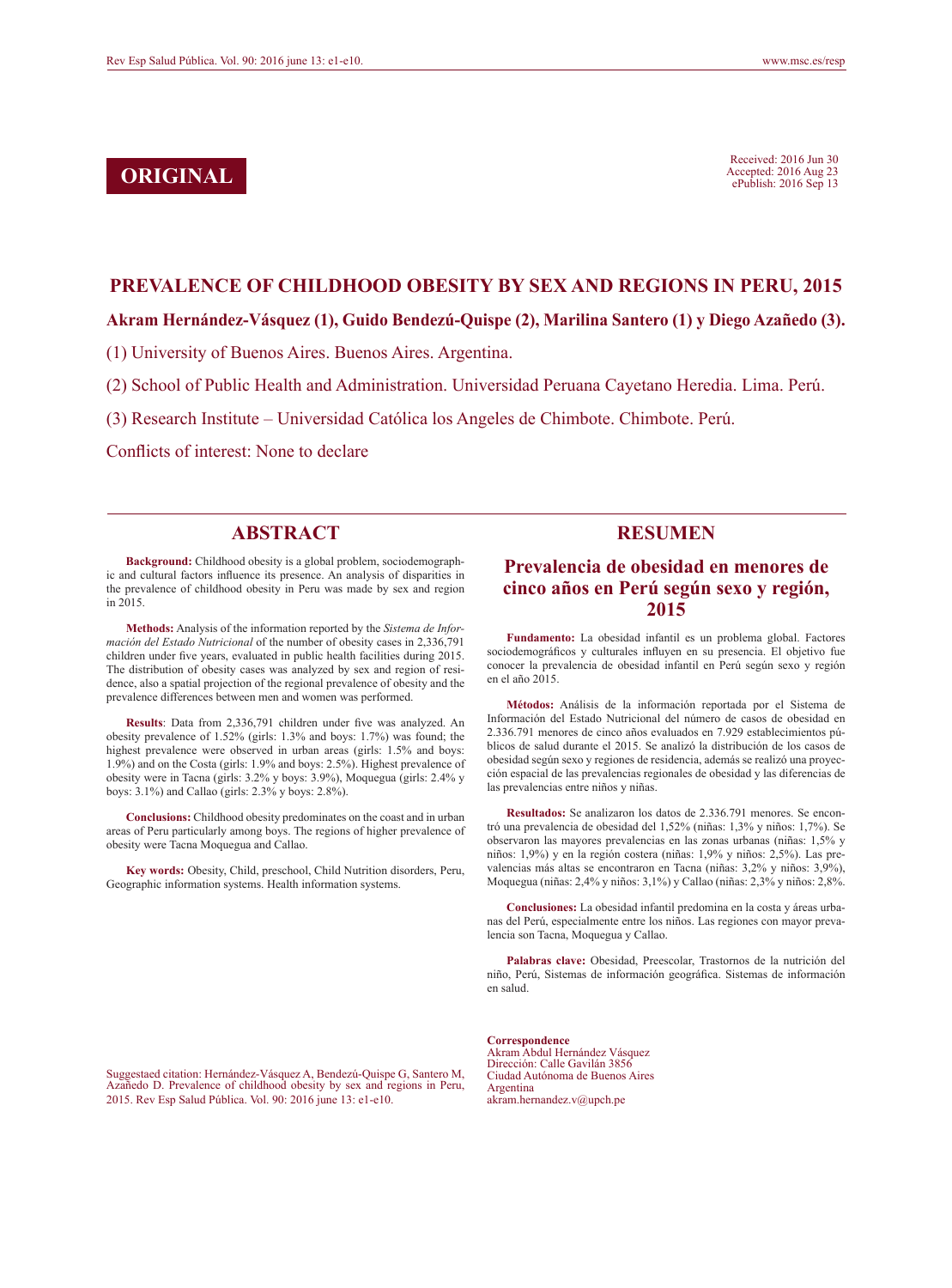Received: 2016 Jun 30<br> **ORIGINAL** Received: 2016 Aug 23<br> **CORIGINAL** 2016 Sep 13 Accepted: 2016 Aug 23 ePublish: 2016 Sep 13

#### **PREVALENCE OF CHILDHOOD OBESITY BY SEX AND REGIONS IN PERU, 2015**

#### **Akram Hernández-Vásquez (1), Guido Bendezú-Quispe (2), Marilina Santero (1) y Diego Azañedo (3).**

(1) University of Buenos Aires. Buenos Aires. Argentina.

- (2) School of Public Health and Administration. Universidad Peruana Cayetano Heredia. Lima. Perú.
- (3) Research Institute Universidad Católica los Angeles de Chimbote. Chimbote. Perú.

Conflicts of interest: None to declare

### **ABSTRACT**

**Background:** Childhood obesity is a global problem, sociodemographic and cultural factors influence its presence. An analysis of disparities in the prevalence of childhood obesity in Peru was made by sex and region in 2015.

**Methods:** Analysis of the information reported by the *Sistema de Información del Estado Nutricional* of the number of obesity cases in 2,336,791 children under five years, evaluated in public health facilities during 2015. The distribution of obesity cases was analyzed by sex and region of residence, also a spatial projection of the regional prevalence of obesity and the prevalence differences between men and women was performed.

**Results**: Data from 2,336,791 children under five was analyzed. An obesity prevalence of 1.52% (girls: 1.3% and boys: 1.7%) was found; the highest prevalence were observed in urban areas (girls: 1.5% and boys: 1.9%) and on the Costa (girls: 1.9% and boys: 2.5%). Highest prevalence of obesity were in Tacna (girls: 3.2% y boys: 3.9%), Moquegua (girls: 2.4% y boys: 3.1%) and Callao (girls: 2.3% y boys: 2.8%).

**Conclusions:** Childhood obesity predominates on the coast and in urban areas of Peru particularly among boys. The regions of higher prevalence of obesity were Tacna Moquegua and Callao.

**Key words:** Obesity, Child, preschool, Child Nutrition disorders, Peru, Geographic information systems. Health information systems.

### **RESUMEN**

### **Prevalencia de obesidad en menores de cinco años en Perú según sexo y región, 2015**

**Fundamento:** La obesidad infantil es un problema global. Factores sociodemográficos y culturales influyen en su presencia. El objetivo fue conocer la prevalencia de obesidad infantil en Perú según sexo y región en el año 2015.

**Métodos:** Análisis de la información reportada por el Sistema de Información del Estado Nutricional del número de casos de obesidad en 2.336.791 menores de cinco años evaluados en 7.929 establecimientos públicos de salud durante el 2015. Se analizó la distribución de los casos de obesidad según sexo y regiones de residencia, además se realizó una proyección espacial de las prevalencias regionales de obesidad y las diferencias de las prevalencias entre niños y niñas.

**Resultados:** Se analizaron los datos de 2.336.791 menores. Se encontró una prevalencia de obesidad del 1,52% (niñas: 1,3% y niños: 1,7%). Se observaron las mayores prevalencias en las zonas urbanas (niñas: 1,5% y niños: 1,9%) y en la región costera (niñas: 1,9% y niños: 2,5%). Las prevalencias más altas se encontraron en Tacna (niñas: 3,2% y niños: 3,9%), Moquegua (niñas: 2,4% y niños: 3,1%) y Callao (niñas: 2,3% y niños: 2,8%.

**Conclusiones:** La obesidad infantil predomina en la costa y áreas urbanas del Perú, especialmente entre los niños. Las regiones con mayor prevalencia son Tacna, Moquegua y Callao.

**Palabras clave:** Obesidad, Preescolar, Trastornos de la nutrición del niño, Perú, Sistemas de información geográfica. Sistemas de información en salud.

Suggestaed citation: Hernández-Vásquez A, Bendezú-Quispe G, Santero M, Azañedo D. Prevalence of childhood obesity by sex and regions in Peru, 2015. Rev Esp Salud Pública. Vol. 90: 2016 june 13: e1-e10.

**Correspondence** Akram Abdul Hernández Vásquez Dirección: Calle Gavilán 3856 Ciudad Autónoma de Buenos Aires Argentina akram.hernandez.v@upch.pe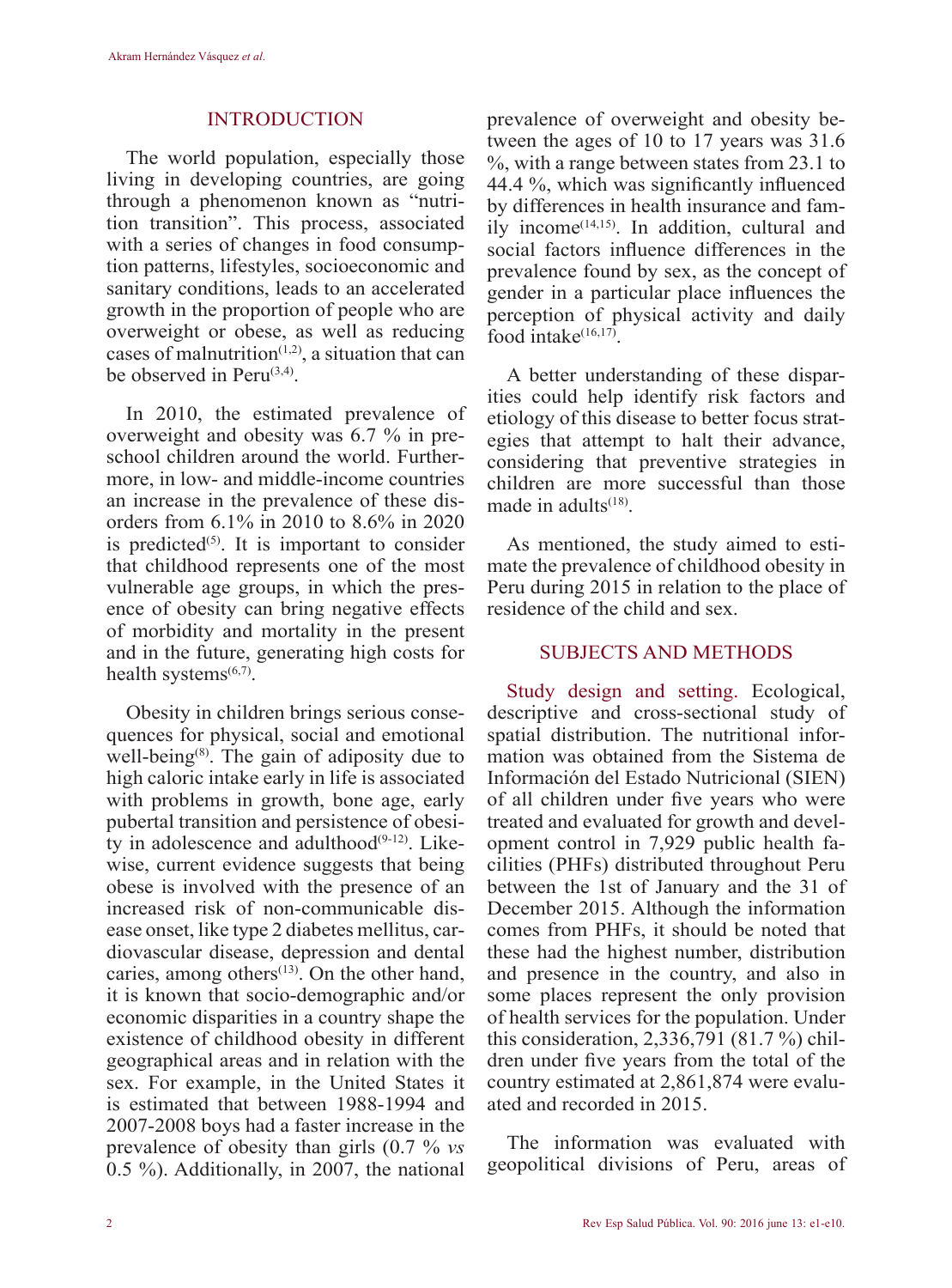### INTRODUCTION

The world population, especially those living in developing countries, are going through a phenomenon known as "nutrition transition". This process, associated with a series of changes in food consumption patterns, lifestyles, socioeconomic and sanitary conditions, leads to an accelerated growth in the proportion of people who are overweight or obese, as well as reducing cases of malnutrition $(1,2)$ , a situation that can be observed in  $Peru^{(3,4)}$ .

In 2010, the estimated prevalence of overweight and obesity was 6.7 % in preschool children around the world. Furthermore, in low- and middle-income countries an increase in the prevalence of these disorders from 6.1% in 2010 to 8.6% in 2020 is predicted $(5)$ . It is important to consider that childhood represents one of the most vulnerable age groups, in which the presence of obesity can bring negative effects of morbidity and mortality in the present and in the future, generating high costs for health systems $^{(6,7)}$ .

Obesity in children brings serious consequences for physical, social and emotional well-being<sup>(8)</sup>. The gain of adiposity due to high caloric intake early in life is associated with problems in growth, bone age, early pubertal transition and persistence of obesity in adolescence and adulthood $(9-12)$ . Likewise, current evidence suggests that being obese is involved with the presence of an increased risk of non-communicable disease onset, like type 2 diabetes mellitus, cardiovascular disease, depression and dental caries, among others $(13)$ . On the other hand, it is known that socio-demographic and/or economic disparities in a country shape the existence of childhood obesity in different geographical areas and in relation with the sex. For example, in the United States it is estimated that between 1988-1994 and 2007-2008 boys had a faster increase in the prevalence of obesity than girls (0.7 % *vs* 0.5 %). Additionally, in 2007, the national prevalence of overweight and obesity between the ages of 10 to 17 years was 31.6 %, with a range between states from 23.1 to 44.4 %, which was significantly influenced by differences in health insurance and fam $i$ ly income<sup>(14,15)</sup>. In addition, cultural and social factors influence differences in the prevalence found by sex, as the concept of gender in a particular place influences the perception of physical activity and daily food intake $(16,17)$ .

A better understanding of these disparities could help identify risk factors and etiology of this disease to better focus strategies that attempt to halt their advance, considering that preventive strategies in children are more successful than those made in adults $(18)$ .

As mentioned, the study aimed to estimate the prevalence of childhood obesity in Peru during 2015 in relation to the place of residence of the child and sex.

### SUBJECTS AND METHODS

Study design and setting. Ecological, descriptive and cross-sectional study of spatial distribution. The nutritional information was obtained from the Sistema de Información del Estado Nutricional (SIEN) of all children under five years who were treated and evaluated for growth and development control in 7,929 public health facilities (PHFs) distributed throughout Peru between the 1st of January and the 31 of December 2015. Although the information comes from PHFs, it should be noted that these had the highest number, distribution and presence in the country, and also in some places represent the only provision of health services for the population. Under this consideration, 2,336,791 (81.7 %) children under five years from the total of the country estimated at 2,861,874 were evaluated and recorded in 2015.

The information was evaluated with geopolitical divisions of Peru, areas of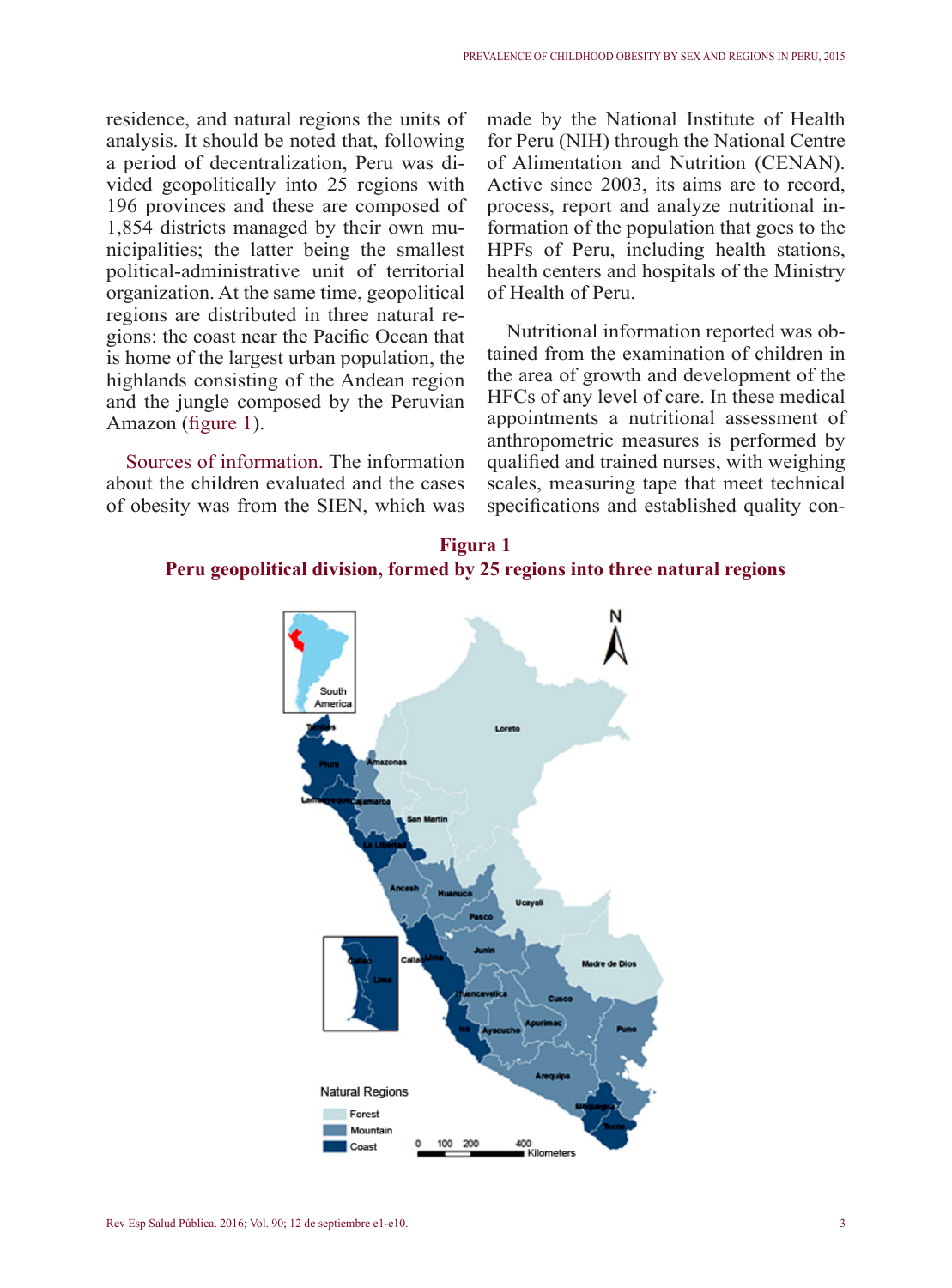residence, and natural regions the units of analysis. It should be noted that, following a period of decentralization, Peru was divided geopolitically into 25 regions with 196 provinces and these are composed of 1,854 districts managed by their own municipalities; the latter being the smallest political-administrative unit of territorial organization. At the same time, geopolitical regions are distributed in three natural regions: the coast near the Pacific Ocean that is home of the largest urban population, the highlands consisting of the Andean region and the jungle composed by the Peruvian Amazon (figure 1).

Sources of information. The information about the children evaluated and the cases of obesity was from the SIEN, which was made by the National Institute of Health for Peru (NIH) through the National Centre of Alimentation and Nutrition (CENAN). Active since 2003, its aims are to record, process, report and analyze nutritional information of the population that goes to the HPFs of Peru, including health stations, health centers and hospitals of the Ministry of Health of Peru.

Nutritional information reported was obtained from the examination of children in the area of growth and development of the HFCs of any level of care. In these medical appointments a nutritional assessment of anthropometric measures is performed by qualified and trained nurses, with weighing scales, measuring tape that meet technical specifications and established quality con-

# **Figura 1 Peru geopolitical division, formed by 25 regions into three natural regions**

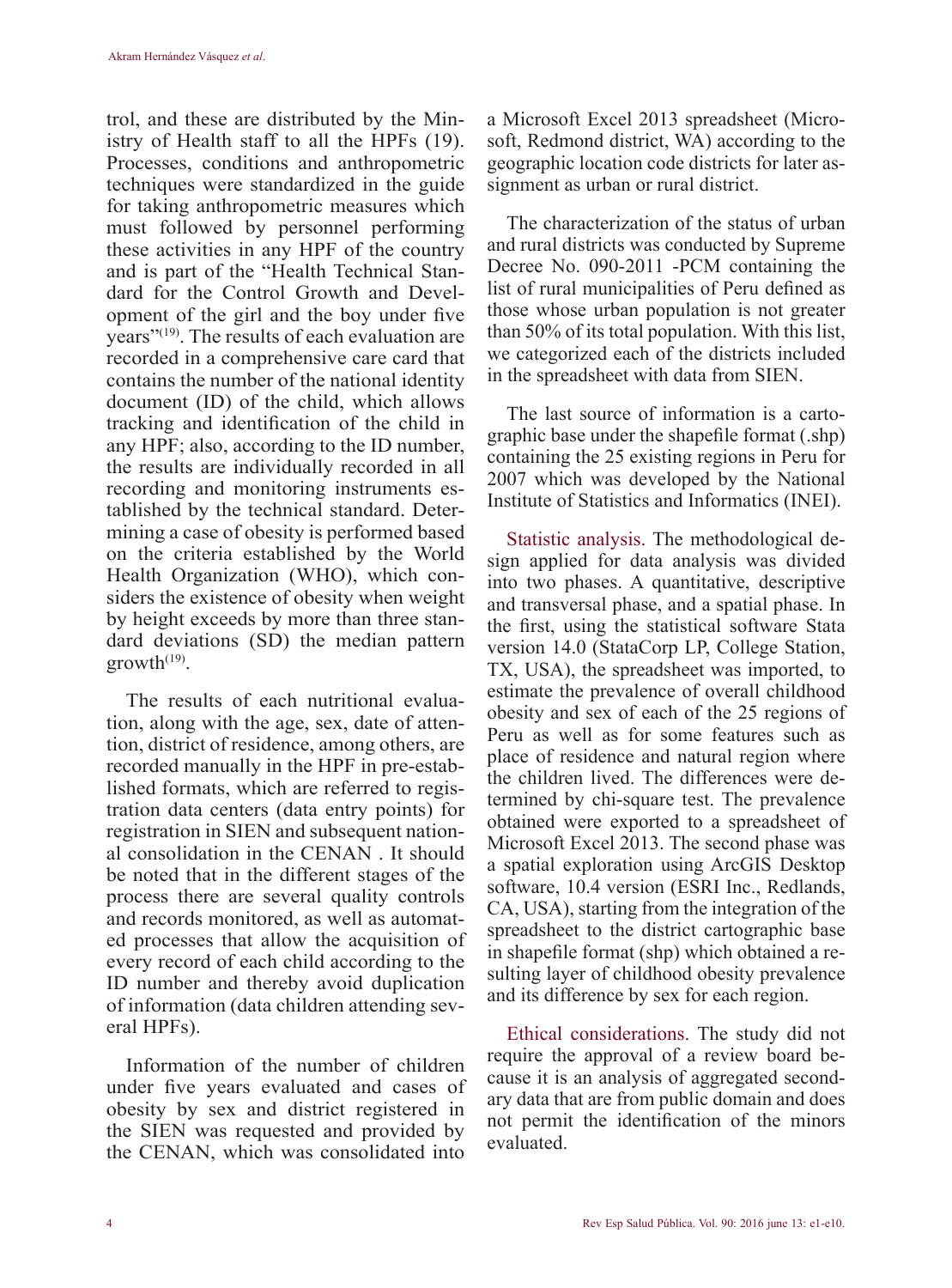trol, and these are distributed by the Ministry of Health staff to all the HPFs (19). Processes, conditions and anthropometric techniques were standardized in the guide for taking anthropometric measures which must followed by personnel performing these activities in any HPF of the country and is part of the "Health Technical Standard for the Control Growth and Development of the girl and the boy under five years"(19). The results of each evaluation are recorded in a comprehensive care card that contains the number of the national identity document (ID) of the child, which allows tracking and identification of the child in any HPF; also, according to the ID number, the results are individually recorded in all recording and monitoring instruments established by the technical standard. Determining a case of obesity is performed based on the criteria established by the World Health Organization (WHO), which considers the existence of obesity when weight by height exceeds by more than three standard deviations (SD) the median pattern  $growth<sup>(19)</sup>$ .

The results of each nutritional evaluation, along with the age, sex, date of attention, district of residence, among others, are recorded manually in the HPF in pre-established formats, which are referred to registration data centers (data entry points) for registration in SIEN and subsequent national consolidation in the CENAN . It should be noted that in the different stages of the process there are several quality controls and records monitored, as well as automated processes that allow the acquisition of every record of each child according to the ID number and thereby avoid duplication of information (data children attending several HPFs).

Information of the number of children under five years evaluated and cases of obesity by sex and district registered in the SIEN was requested and provided by the CENAN, which was consolidated into a Microsoft Excel 2013 spreadsheet (Microsoft, Redmond district, WA) according to the geographic location code districts for later assignment as urban or rural district.

The characterization of the status of urban and rural districts was conducted by Supreme Decree No. 090-2011 -PCM containing the list of rural municipalities of Peru defined as those whose urban population is not greater than 50% of its total population. With this list, we categorized each of the districts included in the spreadsheet with data from SIEN.

The last source of information is a cartographic base under the shapefile format (.shp) containing the 25 existing regions in Peru for 2007 which was developed by the National Institute of Statistics and Informatics (INEI).

Statistic analysis. The methodological design applied for data analysis was divided into two phases. A quantitative, descriptive and transversal phase, and a spatial phase. In the first, using the statistical software Stata version 14.0 (StataCorp LP, College Station, TX, USA), the spreadsheet was imported, to estimate the prevalence of overall childhood obesity and sex of each of the 25 regions of Peru as well as for some features such as place of residence and natural region where the children lived. The differences were determined by chi-square test. The prevalence obtained were exported to a spreadsheet of Microsoft Excel 2013. The second phase was a spatial exploration using ArcGIS Desktop software, 10.4 version (ESRI Inc., Redlands, CA, USA), starting from the integration of the spreadsheet to the district cartographic base in shapefile format (shp) which obtained a resulting layer of childhood obesity prevalence and its difference by sex for each region.

Ethical considerations. The study did not require the approval of a review board because it is an analysis of aggregated secondary data that are from public domain and does not permit the identification of the minors evaluated.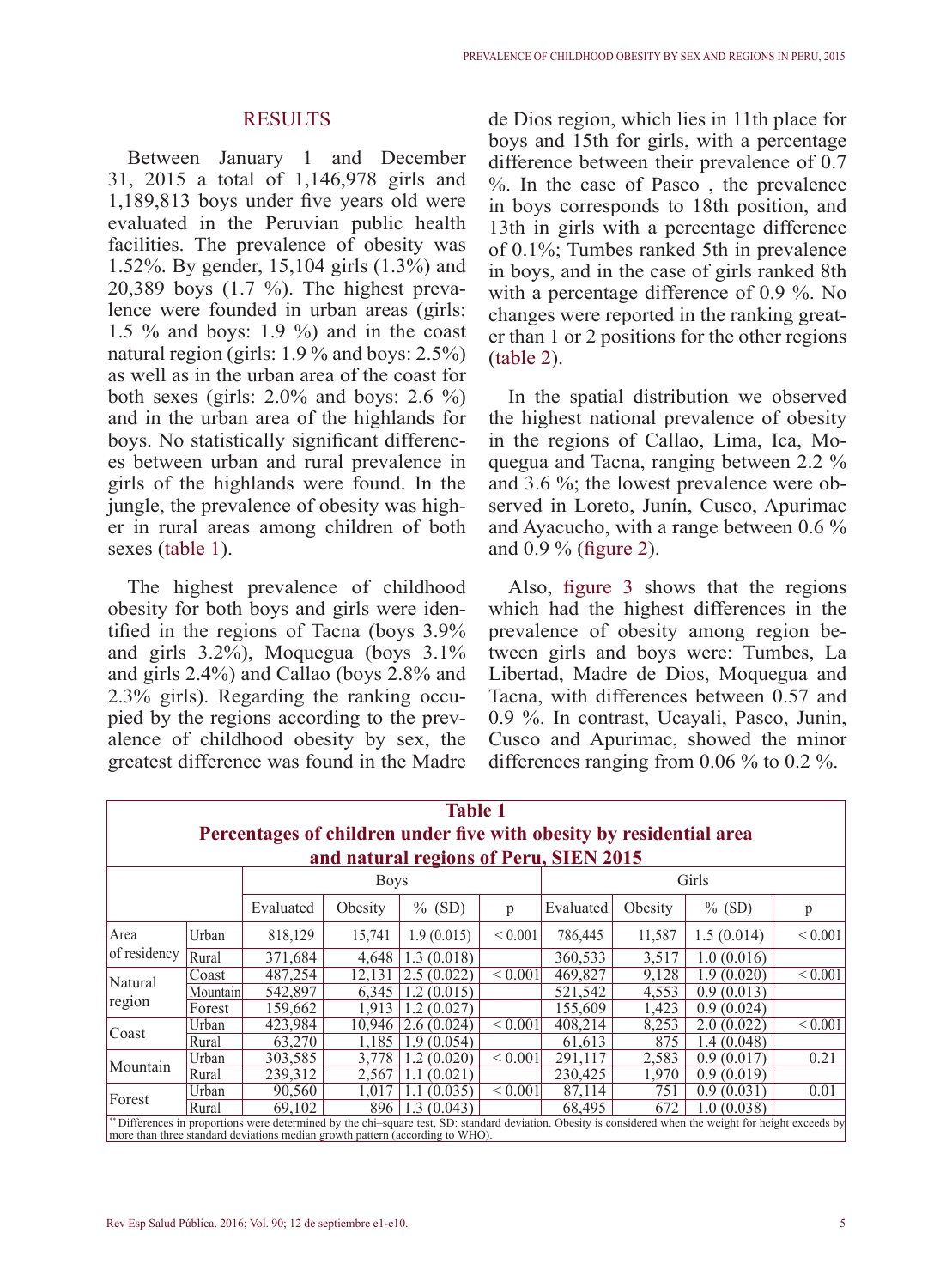### **RESULTS**

Between January 1 and December 31, 2015 a total of 1,146,978 girls and 1,189,813 boys under five years old were evaluated in the Peruvian public health facilities. The prevalence of obesity was 1.52%. By gender, 15,104 girls (1.3%) and 20,389 boys (1.7 %). The highest prevalence were founded in urban areas (girls: 1.5 % and boys: 1.9 %) and in the coast natural region (girls: 1.9 % and boys: 2.5%) as well as in the urban area of the coast for both sexes (girls:  $2.0\%$  and boys:  $2.6\%$ ) and in the urban area of the highlands for boys. No statistically significant differences between urban and rural prevalence in girls of the highlands were found. In the jungle, the prevalence of obesity was higher in rural areas among children of both sexes (table 1).

The highest prevalence of childhood obesity for both boys and girls were identified in the regions of Tacna (boys 3.9% and girls 3.2%), Moquegua (boys 3.1% and girls 2.4%) and Callao (boys 2.8% and 2.3% girls). Regarding the ranking occupied by the regions according to the prevalence of childhood obesity by sex, the greatest difference was found in the Madre de Dios region, which lies in 11th place for boys and 15th for girls, with a percentage difference between their prevalence of 0.7 %. In the case of Pasco , the prevalence in boys corresponds to 18th position, and 13th in girls with a percentage difference of 0.1%; Tumbes ranked 5th in prevalence in boys, and in the case of girls ranked 8th with a percentage difference of 0.9 %. No changes were reported in the ranking greater than 1 or 2 positions for the other regions (table 2).

In the spatial distribution we observed the highest national prevalence of obesity in the regions of Callao, Lima, Ica, Moquegua and Tacna, ranging between 2.2 % and 3.6 %; the lowest prevalence were observed in Loreto, Junín, Cusco, Apurimac and Ayacucho, with a range between 0.6 % and 0.9 % (figure 2).

Also, figure 3 shows that the regions which had the highest differences in the prevalence of obesity among region between girls and boys were: Tumbes, La Libertad, Madre de Dios, Moquegua and Tacna, with differences between 0.57 and 0.9 %. In contrast, Ucayali, Pasco, Junin, Cusco and Apurimac, showed the minor differences ranging from 0.06 % to 0.2 %.

| <b>Table 1</b>                                                                                                                                                                                                                             |          |           |             |                |              |           |         |             |             |  |  |  |  |
|--------------------------------------------------------------------------------------------------------------------------------------------------------------------------------------------------------------------------------------------|----------|-----------|-------------|----------------|--------------|-----------|---------|-------------|-------------|--|--|--|--|
| Percentages of children under five with obesity by residential area                                                                                                                                                                        |          |           |             |                |              |           |         |             |             |  |  |  |  |
| and natural regions of Peru, SIEN 2015                                                                                                                                                                                                     |          |           |             |                |              |           |         |             |             |  |  |  |  |
|                                                                                                                                                                                                                                            |          |           | <b>Boys</b> |                |              | Girls     |         |             |             |  |  |  |  |
|                                                                                                                                                                                                                                            |          | Evaluated | Obesity     | $%$ (SD)       | p            | Evaluated | Obesity | $%$ (SD)    | р           |  |  |  |  |
| Area                                                                                                                                                                                                                                       | Urban    | 818,129   | 15.741      | 1.9(0.015)     | ${}< 0.001$  | 786,445   | 11,587  | 1.5(0.014)  | ${}< 0.001$ |  |  |  |  |
| of residency                                                                                                                                                                                                                               | Rural    | 371,684   | 4.648       | 1.3(0.018)     |              | 360,533   | 3,517   | 1.0(0.016)  |             |  |  |  |  |
| Natural<br>region                                                                                                                                                                                                                          | Coast    | 487,254   | 12.131      | 2.5(0.022)     | ${}_{0.001}$ | 469,827   | 9,128   | 1.9 (0.020) | ${}< 0.001$ |  |  |  |  |
|                                                                                                                                                                                                                                            | Mountain | 542.897   | 6,345       | 1.2(0.015)     |              | 521,542   | 4.553   | 0.9(0.013)  |             |  |  |  |  |
|                                                                                                                                                                                                                                            | Forest   | 159,662   | 1.913       | 1.2(0.027)     |              | 155,609   | 1.423   | 0.9(0.024)  |             |  |  |  |  |
| Coast                                                                                                                                                                                                                                      | Urban    | 423,984   | 10.946      | 2.6(0.024)     | ${}< 0.001$  | 408,214   | 8,253   | 2.0(0.022)  | ${}< 0.001$ |  |  |  |  |
|                                                                                                                                                                                                                                            | Rural    | 63,270    | 1.185       | 1.9(0.054)     |              | 61,613    | 875     | 1.4 (0.048) |             |  |  |  |  |
| Mountain                                                                                                                                                                                                                                   | Urban    | 303.585   | 3.778       | 1.2<br>(0.020) | ${}_{0.001}$ | 291.117   | 2,583   | 0.9(0.017)  | 0.21        |  |  |  |  |
|                                                                                                                                                                                                                                            | Rural    | 239.312   | 2.567       | (0.021)        |              | 230.425   | 1.970   | 0.9(0.019)  |             |  |  |  |  |
| Forest                                                                                                                                                                                                                                     | Urban    | 90,560    | 1.017       | (0.035)        | ${}_{0.001}$ | 87,114    | 751     | 0.9(0.031)  | 0.01        |  |  |  |  |
|                                                                                                                                                                                                                                            | Rural    | 69.102    | 896.        | 1.3(0.043)     |              | 68.495    | 672     | 1.0 (0.038) |             |  |  |  |  |
| ** Differences in proportions were determined by the chi-square test, SD: standard deviation. Obesity is considered when the weight for height exceeds by<br>more than three standard deviations median growth pattern (according to WHO). |          |           |             |                |              |           |         |             |             |  |  |  |  |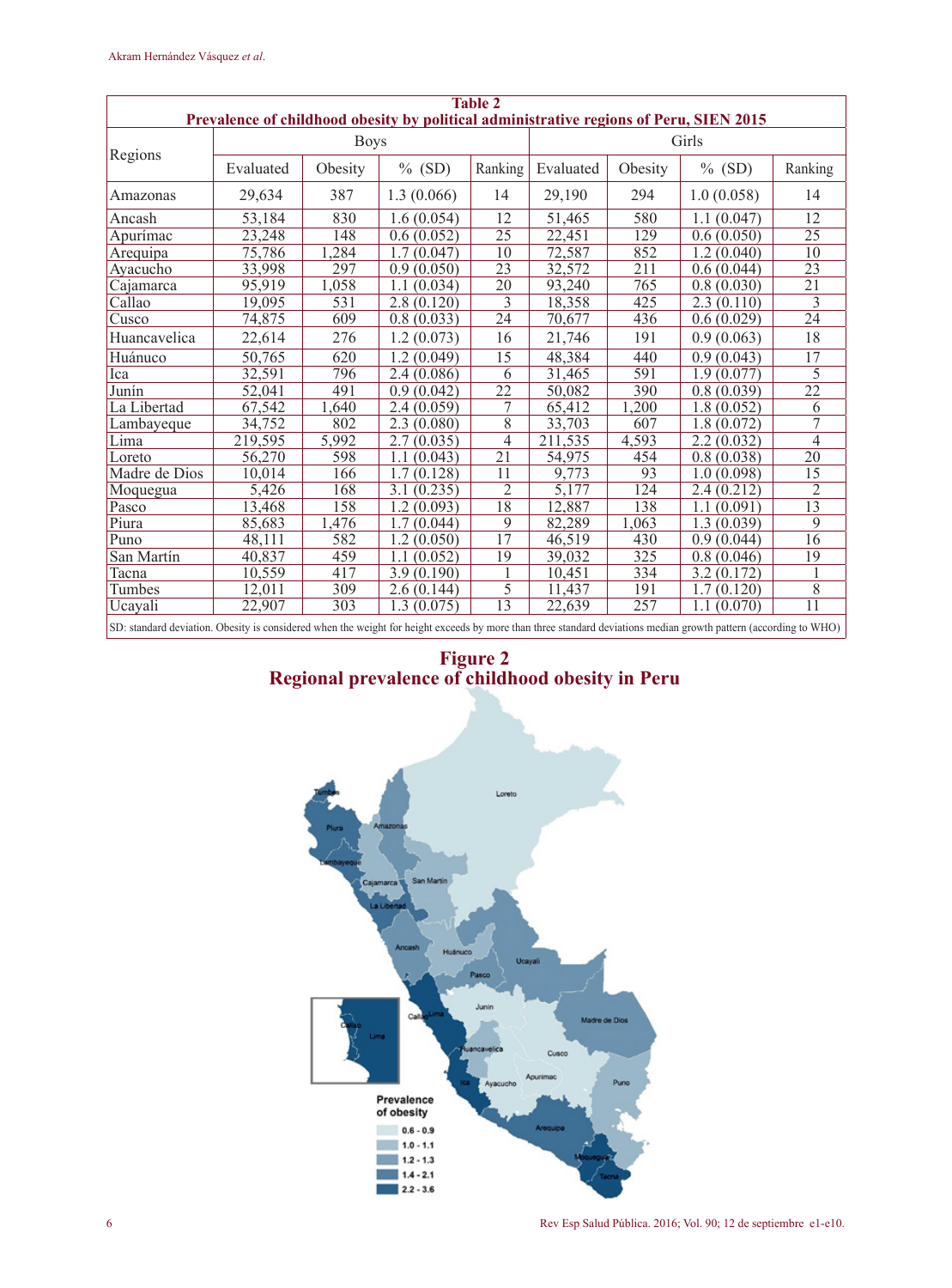| <b>Table 2</b><br>Prevalence of childhood obesity by political administrative regions of Peru, SIEN 2015                                                         |           |             |                |                |           |         |            |                 |  |  |  |
|------------------------------------------------------------------------------------------------------------------------------------------------------------------|-----------|-------------|----------------|----------------|-----------|---------|------------|-----------------|--|--|--|
|                                                                                                                                                                  |           | <b>Boys</b> |                |                | Girls     |         |            |                 |  |  |  |
| Regions                                                                                                                                                          | Evaluated | Obesity     | $%$ (SD)       | Ranking        | Evaluated | Obesity | $%$ (SD)   | Ranking         |  |  |  |
| Amazonas                                                                                                                                                         | 29,634    | 387         | 1.3(0.066)     | 14             | 29,190    | 294     | 1.0(0.058) | 14              |  |  |  |
| Ancash                                                                                                                                                           | 53,184    | 830         | 1.6(0.054)     | 12             | 51,465    | 580     | 1.1(0.047) | 12              |  |  |  |
| Apurímac                                                                                                                                                         | 23,248    | 148         | 0.6(0.052)     | 25             | 22,451    | 129     | 0.6(0.050) | 25              |  |  |  |
| Arequipa                                                                                                                                                         | 75,786    | .284        | 1.7(0.047)     | 10             | 72,587    | 852     | 1.2(0.040) | 10              |  |  |  |
| Ayacucho                                                                                                                                                         | 33,998    | 297         | 0.9(0.050)     | 23             | 32,572    | 211     | 0.6(0.044) | 23              |  |  |  |
| Cajamarca                                                                                                                                                        | 95,919    | 1,058       | 1.1(0.034)     | 20             | 93,240    | 765     | 0.8(0.030) | $\overline{21}$ |  |  |  |
| Callao                                                                                                                                                           | 19,095    | 531         | 2.8(0.120)     | 3              | 18,358    | 425     | 2.3(0.110) | 3               |  |  |  |
| Cusco                                                                                                                                                            | 74,875    | 609         | 0.8(0.033)     | 24             | 70,677    | 436     | 0.6(0.029) | $\overline{24}$ |  |  |  |
| Huancavelica                                                                                                                                                     | 22,614    | 276         | 1.2(0.073)     | 16             | 21,746    | 191     | 0.9(0.063) | 18              |  |  |  |
| Huánuco                                                                                                                                                          | 50,765    | 620         | 1.2(0.049)     | 15             | 48,384    | 440     | 0.9(0.043) | 17              |  |  |  |
| Ica                                                                                                                                                              | 32,591    | 796         | 2.4(0.086)     | 6              | 31,465    | 591     | 1.9(0.077) | 5               |  |  |  |
| Junín                                                                                                                                                            | 52,041    | 491         | 0.9(0.042)     | 22             | 50,082    | 390     | 0.8(0.039) | $\overline{22}$ |  |  |  |
| La Libertad                                                                                                                                                      | 67,542    | 1,640       | 2.4(0.059)     | 7              | 65,412    | 1,200   | 1.8(0.052) | 6               |  |  |  |
| Lambayeque                                                                                                                                                       | 34,752    | 802         | 2.3(0.080)     | 8              | 33,703    | 607     | 1.8(0.072) | 7               |  |  |  |
| Lima                                                                                                                                                             | 219.595   | 5.992       | 2.7(0.035)     | $\overline{4}$ | 211,535   | 4,593   | 2.2(0.032) | $\overline{4}$  |  |  |  |
| Loreto                                                                                                                                                           | 56,270    | 598         | (0.043)<br>1.1 | 21             | 54,975    | 454     | 0.8(0.038) | 20              |  |  |  |
| Madre de Dios                                                                                                                                                    | 10,014    | 166         | 1.7(0.128)     | 11             | 9,773     | 93      | 1.0(0.098) | 15              |  |  |  |
| Moquegua                                                                                                                                                         | 5,426     | 168         | 3.1(0.235)     | $\overline{c}$ | 5,177     | 124     | 2.4(0.212) | 2               |  |  |  |
| Pasco                                                                                                                                                            | 13,468    | 158         | 1.2(0.093)     | 18             | 12,887    | 138     | 1.1(0.091) | $\overline{13}$ |  |  |  |
| Piura                                                                                                                                                            | 85,683    | 1,476       | 1.7(0.044)     | 9              | 82,289    | 1,063   | 1.3(0.039) | $\mathbf Q$     |  |  |  |
| Puno                                                                                                                                                             | 48,111    | 582         | 1.2(0.050)     | 17             | 46,519    | 430     | 0.9(0.044) | 16              |  |  |  |
| San Martín                                                                                                                                                       | 40,837    | 459         | 1.1(0.052)     | 19             | 39,032    | 325     | 0.8(0.046) | 19              |  |  |  |
| Tacna                                                                                                                                                            | 10,559    | 417         | 3.9(0.190)     | 1              | 10,451    | 334     | 3.2(0.172) |                 |  |  |  |
| Tumbes                                                                                                                                                           | 12,011    | 309         | 2.6(0.144)     | 5              | 11,437    | 191     | 1.7(0.120) | 8               |  |  |  |
| Ucavali                                                                                                                                                          | 22,907    | 303         | 1.3(0.075)     | 13             | 22,639    | 257     | 1.1(0.070) | 11              |  |  |  |
| SD: standard deviation. Obesity is considered when the weight for height exceeds by more than three standard deviations median growth pattern (according to WHO) |           |             |                |                |           |         |            |                 |  |  |  |



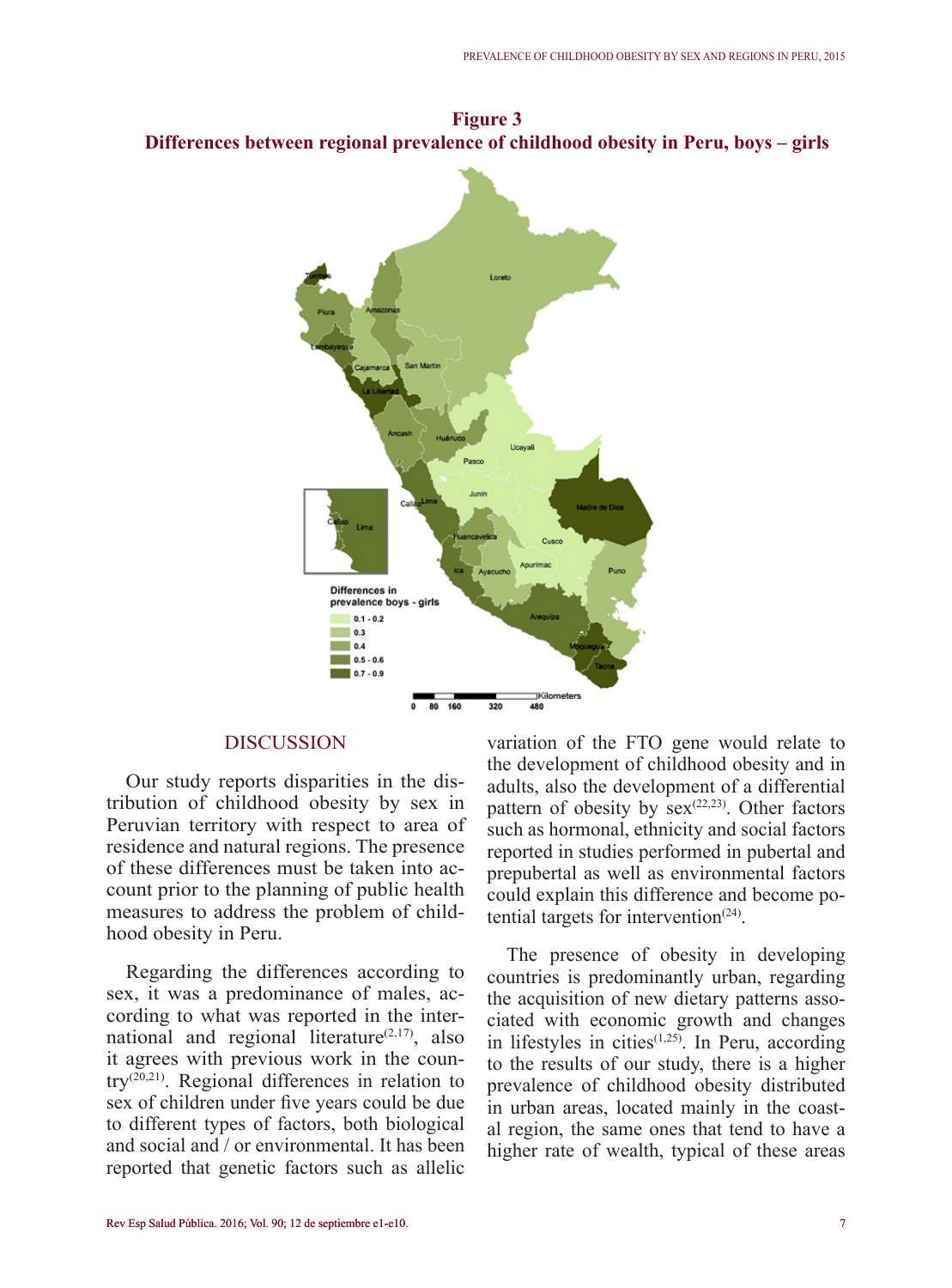

**Figure 3 Differences between regional prevalence of childhood obesity in Peru, boys – girls**

### **DISCUSSION**

Our study reports disparities in the distribution of childhood obesity by sex in Peruvian territory with respect to area of residence and natural regions. The presence of these differences must be taken into account prior to the planning of public health measures to address the problem of childhood obesity in Peru.

Regarding the differences according to sex, it was a predominance of males, according to what was reported in the international and regional literature $(2,17)$ , also it agrees with previous work in the country(20,21). Regional differences in relation to sex of children under five years could be due to different types of factors, both biological and social and / or environmental. It has been reported that genetic factors such as allelic variation of the FTO gene would relate to the development of childhood obesity and in adults, also the development of a differential pattern of obesity by  $sex^{(22,23)}$ . Other factors such as hormonal, ethnicity and social factors reported in studies performed in pubertal and prepubertal as well as environmental factors could explain this difference and become potential targets for intervention $(24)$ .

The presence of obesity in developing countries is predominantly urban, regarding the acquisition of new dietary patterns associated with economic growth and changes in lifestyles in cities $(1,25)$ . In Peru, according to the results of our study, there is a higher prevalence of childhood obesity distributed in urban areas, located mainly in the coastal region, the same ones that tend to have a higher rate of wealth, typical of these areas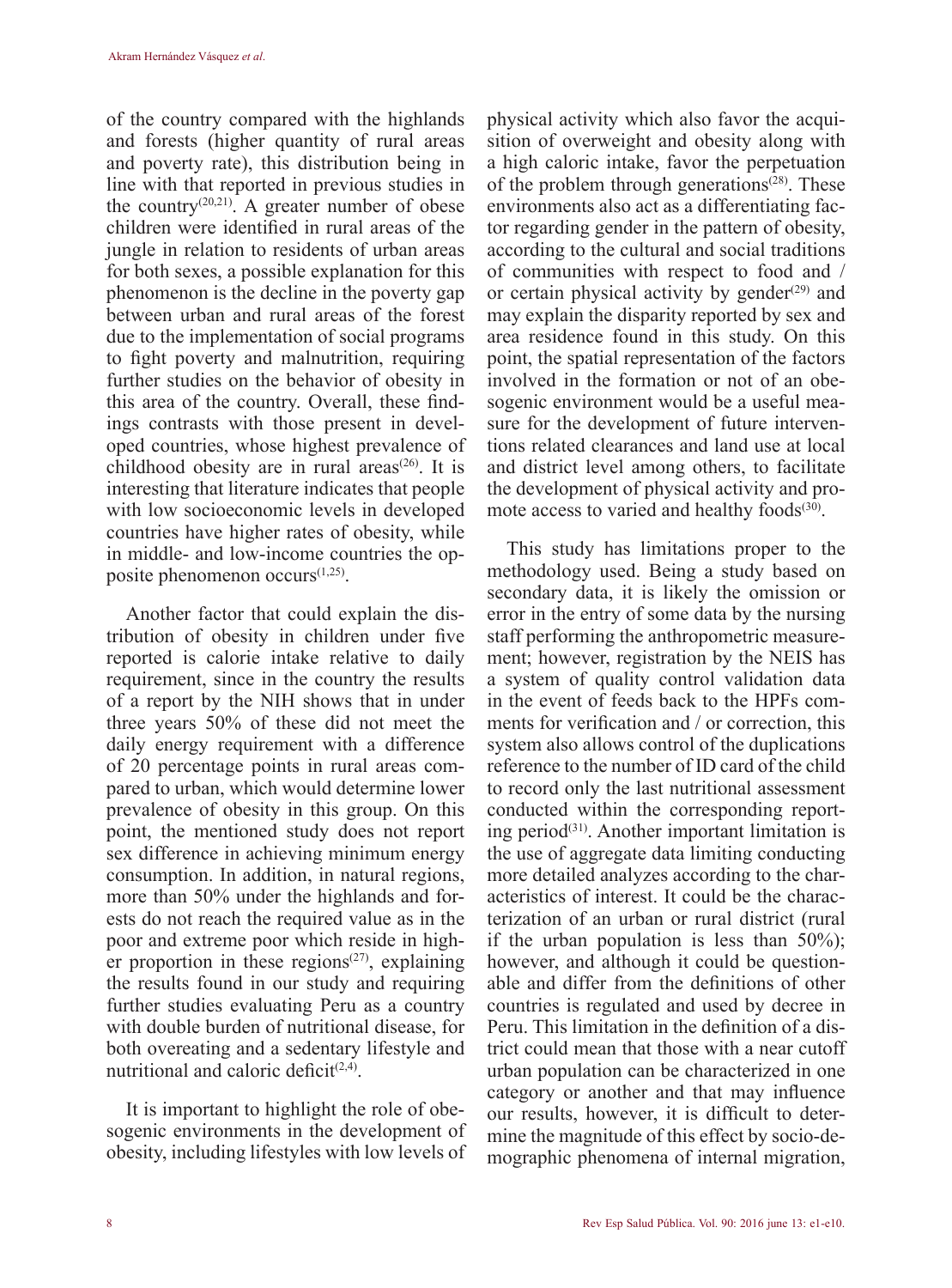of the country compared with the highlands and forests (higher quantity of rural areas and poverty rate), this distribution being in line with that reported in previous studies in the country<sup>(20,21)</sup>. A greater number of obese children were identified in rural areas of the jungle in relation to residents of urban areas for both sexes, a possible explanation for this phenomenon is the decline in the poverty gap between urban and rural areas of the forest due to the implementation of social programs to fight poverty and malnutrition, requiring further studies on the behavior of obesity in this area of the country. Overall, these findings contrasts with those present in developed countries, whose highest prevalence of childhood obesity are in rural areas $(26)$ . It is interesting that literature indicates that people with low socioeconomic levels in developed countries have higher rates of obesity, while in middle- and low-income countries the opposite phenomenon occurs $(1,25)$ .

Another factor that could explain the distribution of obesity in children under five reported is calorie intake relative to daily requirement, since in the country the results of a report by the NIH shows that in under three years 50% of these did not meet the daily energy requirement with a difference of 20 percentage points in rural areas compared to urban, which would determine lower prevalence of obesity in this group. On this point, the mentioned study does not report sex difference in achieving minimum energy consumption. In addition, in natural regions, more than 50% under the highlands and forests do not reach the required value as in the poor and extreme poor which reside in higher proportion in these regions $(27)$ , explaining the results found in our study and requiring further studies evaluating Peru as a country with double burden of nutritional disease, for both overeating and a sedentary lifestyle and nutritional and caloric deficit<sup> $(2,4)$ </sup>.

It is important to highlight the role of obesogenic environments in the development of obesity, including lifestyles with low levels of physical activity which also favor the acquisition of overweight and obesity along with a high caloric intake, favor the perpetuation of the problem through generations<sup> $(28)$ </sup>. These environments also act as a differentiating factor regarding gender in the pattern of obesity, according to the cultural and social traditions of communities with respect to food and / or certain physical activity by gender $(29)$  and may explain the disparity reported by sex and area residence found in this study. On this point, the spatial representation of the factors involved in the formation or not of an obesogenic environment would be a useful measure for the development of future interventions related clearances and land use at local and district level among others, to facilitate the development of physical activity and promote access to varied and healthy foods $(30)$ .

This study has limitations proper to the methodology used. Being a study based on secondary data, it is likely the omission or error in the entry of some data by the nursing staff performing the anthropometric measurement; however, registration by the NEIS has a system of quality control validation data in the event of feeds back to the HPFs comments for verification and / or correction, this system also allows control of the duplications reference to the number of ID card of the child to record only the last nutritional assessment conducted within the corresponding reporting period<sup>(31)</sup>. Another important limitation is the use of aggregate data limiting conducting more detailed analyzes according to the characteristics of interest. It could be the characterization of an urban or rural district (rural if the urban population is less than  $50\%$ ); however, and although it could be questionable and differ from the definitions of other countries is regulated and used by decree in Peru. This limitation in the definition of a district could mean that those with a near cutoff urban population can be characterized in one category or another and that may influence our results, however, it is difficult to determine the magnitude of this effect by socio-demographic phenomena of internal migration,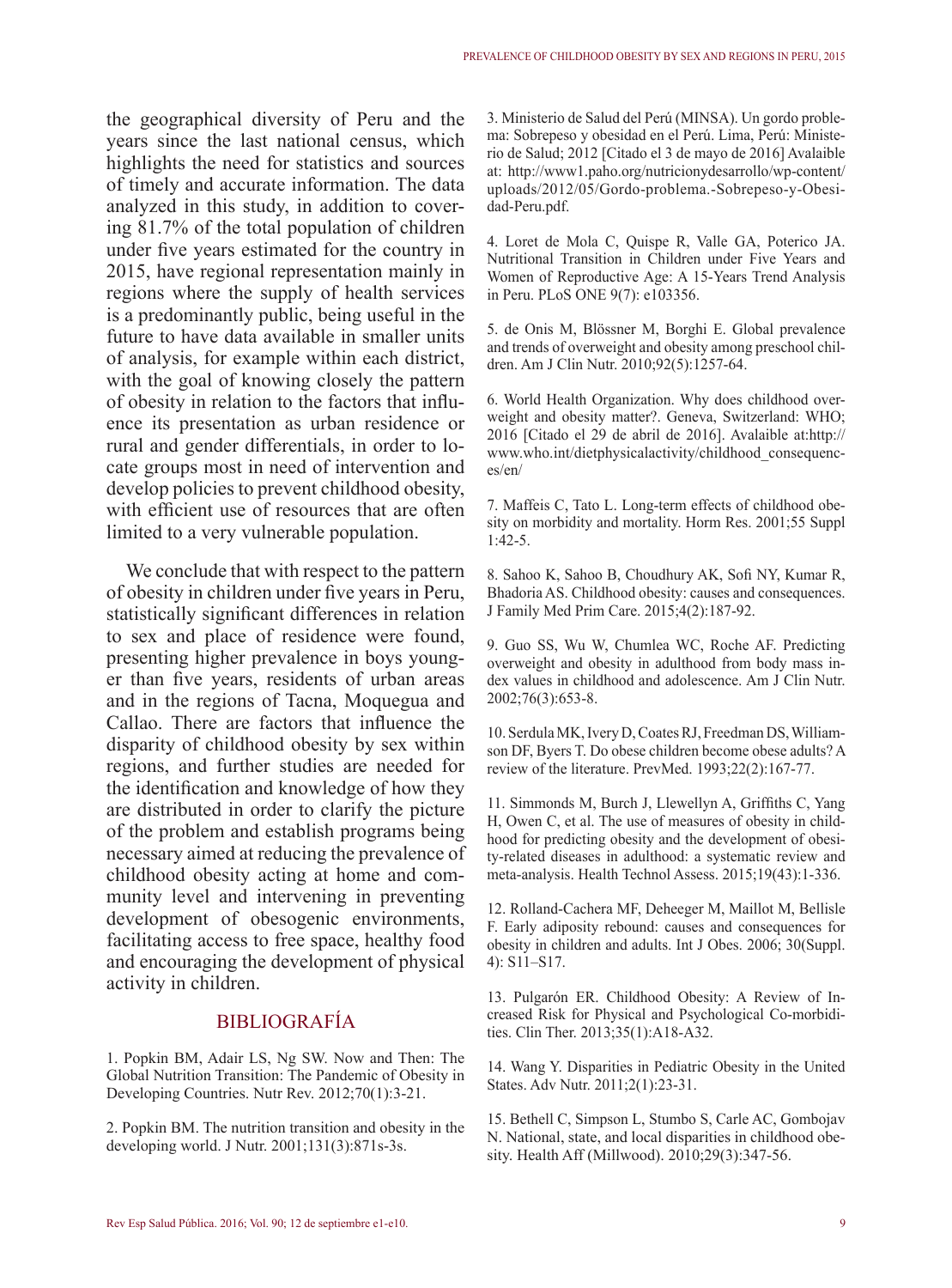the geographical diversity of Peru and the years since the last national census, which highlights the need for statistics and sources of timely and accurate information. The data analyzed in this study, in addition to covering 81.7% of the total population of children under five years estimated for the country in 2015, have regional representation mainly in regions where the supply of health services is a predominantly public, being useful in the future to have data available in smaller units of analysis, for example within each district, with the goal of knowing closely the pattern of obesity in relation to the factors that influence its presentation as urban residence or rural and gender differentials, in order to locate groups most in need of intervention and develop policies to prevent childhood obesity, with efficient use of resources that are often limited to a very vulnerable population.

We conclude that with respect to the pattern of obesity in children under five years in Peru, statistically significant differences in relation to sex and place of residence were found, presenting higher prevalence in boys younger than five years, residents of urban areas and in the regions of Tacna, Moquegua and Callao. There are factors that influence the disparity of childhood obesity by sex within regions, and further studies are needed for the identification and knowledge of how they are distributed in order to clarify the picture of the problem and establish programs being necessary aimed at reducing the prevalence of childhood obesity acting at home and community level and intervening in preventing development of obesogenic environments, facilitating access to free space, healthy food and encouraging the development of physical activity in children.

## BIBLIOGRAFÍA

1. Popkin BM, Adair LS, Ng SW. Now and Then: The Global Nutrition Transition: The Pandemic of Obesity in Developing Countries. Nutr Rev. 2012;70(1):3-21.

2. Popkin BM. The nutrition transition and obesity in the developing world. J Nutr. 2001;131(3):871s-3s.

3. Ministerio de Salud del Perú (MINSA). Un gordo problema: Sobrepeso y obesidad en el Perú. Lima, Perú: Ministerio de Salud; 2012 [Citado el 3 de mayo de 2016] Avalaible [at: http://www1.paho.org/nutricionydesarrollo/wp-content/](http://www1.paho.org/nutricionydesarrollo/wp-content/uploads/2012/05/Gordo-problema.-Sobrepeso-y-Obesidad-Peru.pdf) uploads/2012/05/Gordo-problema.-Sobrepeso-y-Obesidad-Peru.pdf.

4. Loret de Mola C, Quispe R, Valle GA, Poterico JA. Nutritional Transition in Children under Five Years and Women of Reproductive Age: A 15-Years Trend Analysis in Peru. PLoS ONE 9(7): e103356.

5. de Onis M, Blössner M, Borghi E. Global prevalence and trends of overweight and obesity among preschool children. Am J Clin Nutr. 2010;92(5):1257-64.

6. World Health Organization. Why does childhood overweight and obesity matter?. Geneva, Switzerland: WHO; [2016 \[Citado el 29 de abril de 2016\]. Avalaible at:http://](http://www.who.int/dietphysicalactivity/childhood_consequences/en/) www.who.int/dietphysicalactivity/childhood\_consequences/en/

7. Maffeis C, Tato L. Long-term effects of childhood obesity on morbidity and mortality. Horm Res. 2001;55 Suppl 1:42-5.

8. Sahoo K, Sahoo B, Choudhury AK, Sofi NY, Kumar R, Bhadoria AS. Childhood obesity: causes and consequences. J Family Med Prim Care. 2015;4(2):187-92.

9. Guo SS, Wu W, Chumlea WC, Roche AF. Predicting overweight and obesity in adulthood from body mass index values in childhood and adolescence. Am J Clin Nutr. 2002;76(3):653-8.

10. Serdula MK, Ivery D, Coates RJ, Freedman DS, Williamson DF, Byers T. Do obese children become obese adults? A review of the literature. PrevMed. 1993;22(2):167-77.

11. Simmonds M, Burch J, Llewellyn A, Griffiths C, Yang H, Owen C, et al. The use of measures of obesity in childhood for predicting obesity and the development of obesity-related diseases in adulthood: a systematic review and meta-analysis. Health Technol Assess. 2015;19(43):1-336.

12. Rolland-Cachera MF, Deheeger M, Maillot M, Bellisle F. Early adiposity rebound: causes and consequences for obesity in children and adults. Int J Obes. 2006; 30(Suppl. 4): S11–S17.

13. Pulgarón ER. Childhood Obesity: A Review of Increased Risk for Physical and Psychological Co-morbidities. Clin Ther. 2013;35(1):A18-A32.

14. Wang Y. Disparities in Pediatric Obesity in the United States. Adv Nutr. 2011;2(1):23-31.

15. Bethell C, Simpson L, Stumbo S, Carle AC, Gombojav N. National, state, and local disparities in childhood obesity. Health Aff (Millwood). 2010;29(3):347-56.